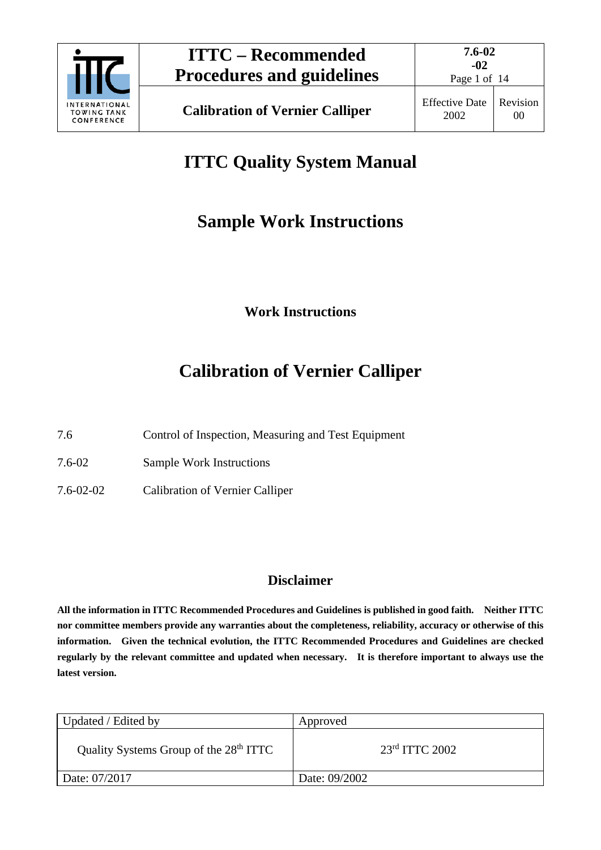

# **ITTC Quality System Manual**

# **Sample Work Instructions**

**Work Instructions**

# **Calibration of Vernier Calliper**

7.6 Control of Inspection, Measuring and Test Equipment

7.6-02 Sample Work Instructions

7.6-02-02 Calibration of Vernier Calliper

# **Disclaimer**

**All the information in ITTC Recommended Procedures and Guidelines is published in good faith. Neither ITTC nor committee members provide any warranties about the completeness, reliability, accuracy or otherwise of this information. Given the technical evolution, the ITTC Recommended Procedures and Guidelines are checked regularly by the relevant committee and updated when necessary. It is therefore important to always use the latest version.**

| Updated / Edited by                                | Approved           |
|----------------------------------------------------|--------------------|
| Quality Systems Group of the 28 <sup>th</sup> ITTC | $23rd$ ITTC $2002$ |
| Date: 07/2017                                      | Date: 09/2002      |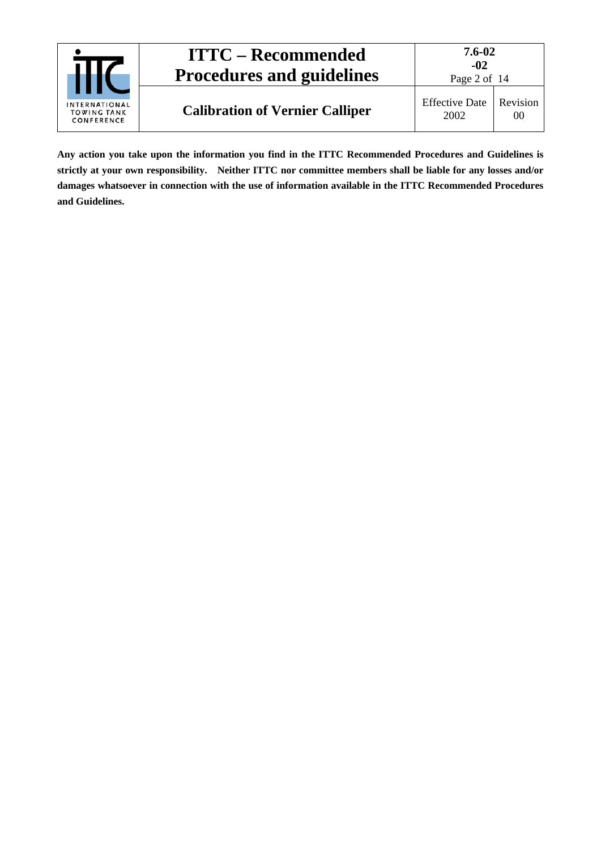| INTERNATIONAL<br><b>TOWING TANK</b><br>CONFERENCE | <b>ITTC – Recommended</b><br><b>Procedures and guidelines</b> | 7.6-02<br>$-02$<br>Page 2 of 14 |                |
|---------------------------------------------------|---------------------------------------------------------------|---------------------------------|----------------|
|                                                   | <b>Calibration of Vernier Calliper</b>                        | <b>Effective Date</b><br>2002   | Revision<br>00 |

**Any action you take upon the information you find in the ITTC Recommended Procedures and Guidelines is strictly at your own responsibility. Neither ITTC nor committee members shall be liable for any losses and/or damages whatsoever in connection with the use of information available in the ITTC Recommended Procedures and Guidelines.**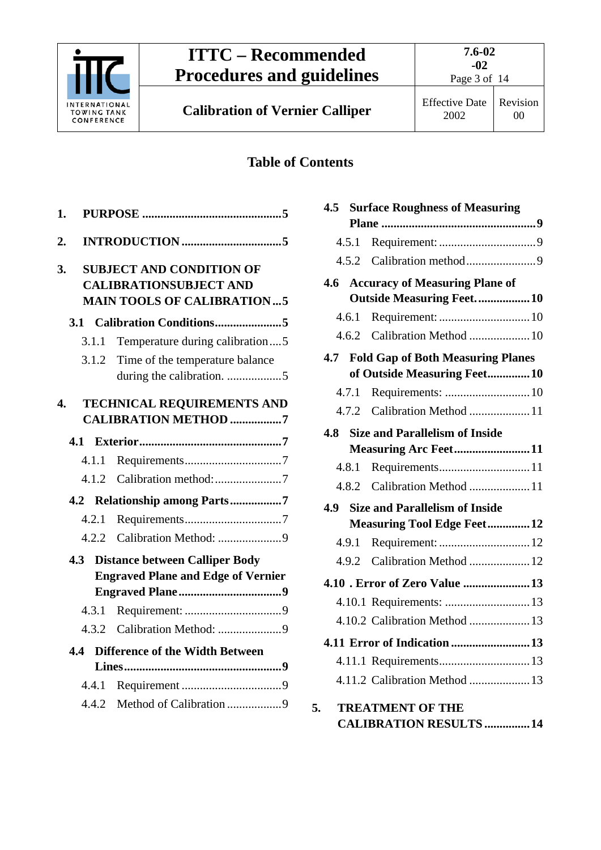

Page 3 of 14

**Calibration of Vernier Calliper** Effective Date

# **Table of Contents**

| 1. |       |                                                                                    |
|----|-------|------------------------------------------------------------------------------------|
| 2. |       |                                                                                    |
| 3. |       | <b>SUBJECT AND CONDITION OF</b><br><b>CALIBRATIONSUBJECT AND</b>                   |
|    |       | <b>MAIN TOOLS OF CALIBRATION5</b>                                                  |
|    |       |                                                                                    |
|    | 3.1.1 | Temperature during calibration5                                                    |
|    | 3.1.2 | Time of the temperature balance                                                    |
|    |       |                                                                                    |
| 4. |       | <b>TECHNICAL REQUIREMENTS AND</b><br><b>CALIBRATION METHOD 7</b>                   |
|    |       |                                                                                    |
|    | 4.1.1 |                                                                                    |
|    | 4.1.2 |                                                                                    |
|    |       | 4.2 Relationship among Parts7                                                      |
|    | 4.2.1 |                                                                                    |
|    |       |                                                                                    |
|    | 4.3   | <b>Distance between Calliper Body</b><br><b>Engraved Plane and Edge of Vernier</b> |
|    |       |                                                                                    |
|    | 4.3.1 |                                                                                    |
|    | 4.3.2 | Calibration Method: 9                                                              |
|    | 4.4   | <b>Difference of the Width Between</b>                                             |
|    |       |                                                                                    |
|    | 4.4.1 |                                                                                    |
|    | 4.4.2 | Method of Calibration 9                                                            |

| 4.5   | <b>Surface Roughness of Measuring</b>    |  |
|-------|------------------------------------------|--|
|       |                                          |  |
| 4.5.1 |                                          |  |
|       |                                          |  |
|       | 4.6 Accuracy of Measuring Plane of       |  |
|       | <b>Outside Measuring Feet 10</b>         |  |
| 4.6.1 |                                          |  |
|       | 4.6.2 Calibration Method  10             |  |
| 4.7   | <b>Fold Gap of Both Measuring Planes</b> |  |
|       | of Outside Measuring Feet10              |  |
| 4.7.1 |                                          |  |
| 4.7.2 | Calibration Method  11                   |  |
| 4.8   | <b>Size and Parallelism of Inside</b>    |  |
|       | <b>Measuring Arc Feet11</b>              |  |
| 4.8.1 |                                          |  |
|       | 4.8.2 Calibration Method 11              |  |
| 4.9   | <b>Size and Parallelism of Inside</b>    |  |
|       | <b>Measuring Tool Edge Feet12</b>        |  |
| 4.9.1 |                                          |  |
| 4.9.2 | Calibration Method  12                   |  |
|       | 4.10 . Error of Zero Value  13           |  |
|       |                                          |  |
|       | 4.10.2 Calibration Method  13            |  |
|       | 4.11 Error of Indication 13              |  |
|       |                                          |  |
|       | 4.11.2 Calibration Method 13             |  |
|       |                                          |  |
| 5.    | <b>TREATMENT OF THE</b>                  |  |

**[CALIBRATION RESULTS](#page-13-0) ...............14**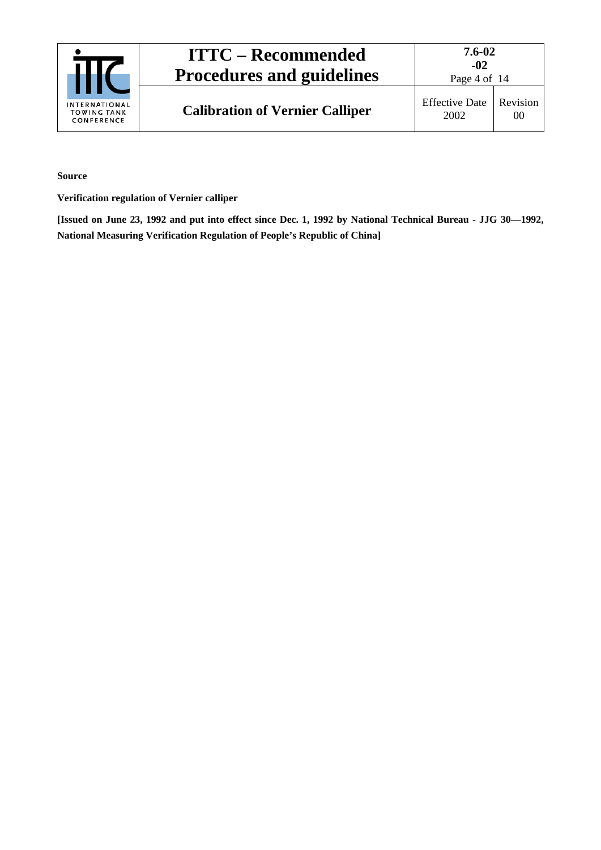| <b>INTERNATIONAL</b><br><b>TOWING TANK</b><br>CONFERENCE | <b>ITTC – Recommended</b><br><b>Procedures and guidelines</b> | 7.6-02<br>$-02$<br>Page 4 of 14 |                |
|----------------------------------------------------------|---------------------------------------------------------------|---------------------------------|----------------|
|                                                          | <b>Calibration of Vernier Calliper</b>                        | <b>Effective Date</b><br>2002   | Revision<br>00 |

**Source**

**Verification regulation of Vernier calliper**

**[Issued on June 23, 1992 and put into effect since Dec. 1, 1992 by National Technical Bureau - JJG 30—1992, National Measuring Verification Regulation of People's Republic of China]**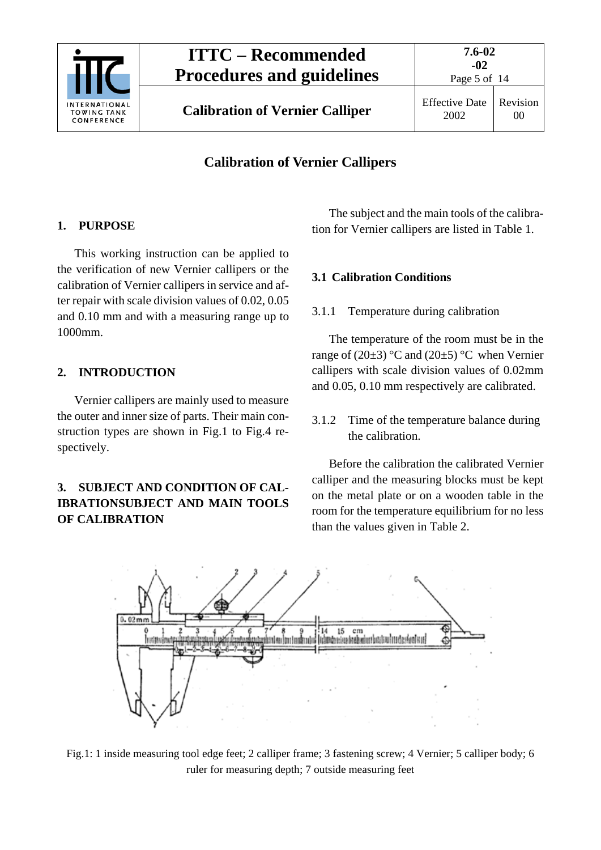

Page 5 of 14

## **Calibration of Vernier Callipers**

## <span id="page-4-0"></span>**1. PURPOSE**

This working instruction can be applied to the verification of new Vernier callipers or the calibration of Vernier callipers in service and after repair with scale division values of 0.02, 0.05 and 0.10 mm and with a measuring range up to 1000mm.

## <span id="page-4-1"></span>**2. INTRODUCTION**

Vernier callipers are mainly used to measure the outer and inner size of parts. Their main construction types are shown in Fig.1 to Fig.4 respectively.

## <span id="page-4-2"></span>**3. SUBJECT AND CONDITION OF CAL-IBRATIONSUBJECT AND MAIN TOOLS OF CALIBRATION**

The subject and the main tools of the calibration for Vernier callipers are listed in Table 1.

## <span id="page-4-4"></span><span id="page-4-3"></span>**3.1 Calibration Conditions**

3.1.1 Temperature during calibration

The temperature of the room must be in the range of  $(20\pm3)$  °C and  $(20\pm5)$  °C when Vernier callipers with scale division values of 0.02mm and 0.05, 0.10 mm respectively are calibrated.

<span id="page-4-5"></span>3.1.2 Time of the temperature balance during the calibration.

Before the calibration the calibrated Vernier calliper and the measuring blocks must be kept on the metal plate or on a wooden table in the room for the temperature equilibrium for no less than the values given in Table 2.



Fig.1: 1 inside measuring tool edge feet; 2 calliper frame; 3 fastening screw; 4 Vernier; 5 calliper body; 6 ruler for measuring depth; 7 outside measuring feet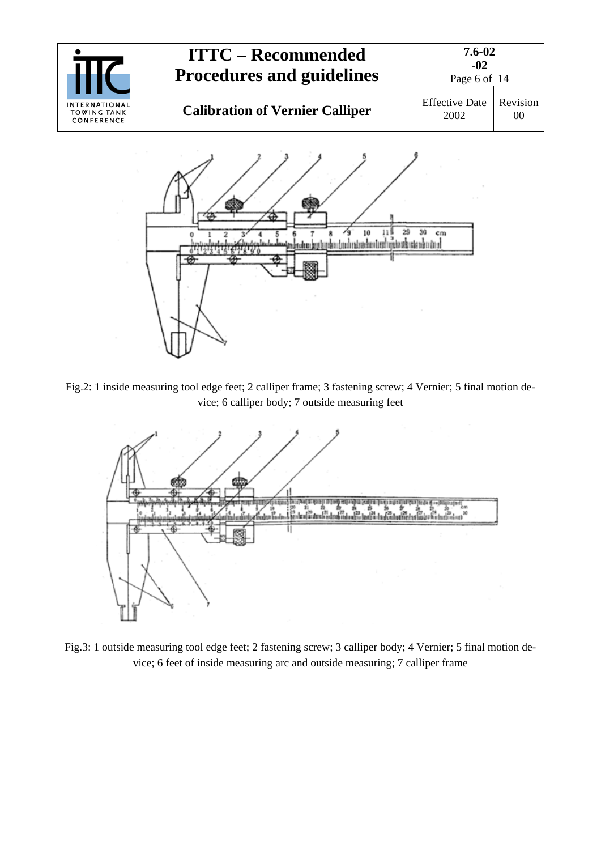



Fig.2: 1 inside measuring tool edge feet; 2 calliper frame; 3 fastening screw; 4 Vernier; 5 final motion device; 6 calliper body; 7 outside measuring feet



Fig.3: 1 outside measuring tool edge feet; 2 fastening screw; 3 calliper body; 4 Vernier; 5 final motion device; 6 feet of inside measuring arc and outside measuring; 7 calliper frame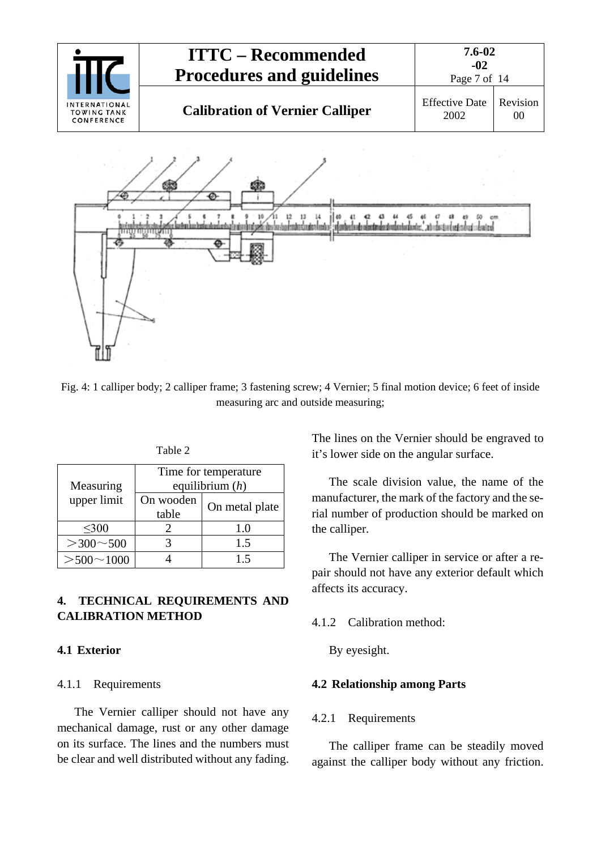

Fig. 4: 1 calliper body; 2 calliper frame; 3 fastening screw; 4 Vernier; 5 final motion device; 6 feet of inside measuring arc and outside measuring;

| anie |  |
|------|--|
|------|--|

| Measuring           | Time for temperature<br>equilibrium $(h)$ |     |  |
|---------------------|-------------------------------------------|-----|--|
| upper limit         | On wooden<br>On metal plate<br>table      |     |  |
| $\leq 300$          |                                           | 1.0 |  |
| $>$ 300 $\sim$ 500  |                                           | 1.5 |  |
| $>$ 500 $\sim$ 1000 |                                           | 1.5 |  |

## <span id="page-6-0"></span>**4. TECHNICAL REQUIREMENTS AND CALIBRATION METHOD**

## <span id="page-6-2"></span><span id="page-6-1"></span>**4.1 Exterior**

### 4.1.1 Requirements

The Vernier calliper should not have any mechanical damage, rust or any other damage on its surface. The lines and the numbers must be clear and well distributed without any fading. The lines on the Vernier should be engraved to it's lower side on the angular surface.

The scale division value, the name of the manufacturer, the mark of the factory and the serial number of production should be marked on the calliper.

The Vernier calliper in service or after a repair should not have any exterior default which affects its accuracy.

### <span id="page-6-3"></span>4.1.2 Calibration method:

By eyesight.

### <span id="page-6-5"></span><span id="page-6-4"></span>**4.2 Relationship among Parts**

### 4.2.1 Requirements

The calliper frame can be steadily moved against the calliper body without any friction.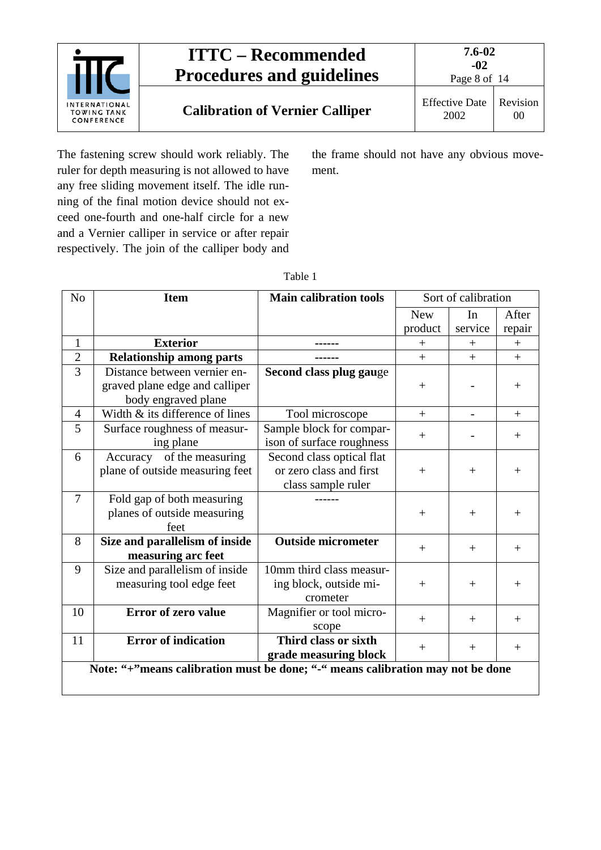

The fastening screw should work reliably. The ruler for depth measuring is not allowed to have any free sliding movement itself. The idle running of the final motion device should not exceed one-fourth and one-half circle for a new and a Vernier calliper in service or after repair respectively. The join of the calliper body and the frame should not have any obvious movement.

| N <sub>o</sub> | <b>Item</b>                                                                    | <b>Main calibration tools</b> | Sort of calibration |         |        |
|----------------|--------------------------------------------------------------------------------|-------------------------------|---------------------|---------|--------|
|                |                                                                                |                               | <b>New</b>          | In      | After  |
|                |                                                                                |                               | product             | service | repair |
| $\mathbf{1}$   | <b>Exterior</b>                                                                |                               | $+$                 | $+$     | $+$    |
| $\overline{2}$ | <b>Relationship among parts</b>                                                |                               | $+$                 | $+$     | $+$    |
| $\overline{3}$ | Distance between vernier en-                                                   | Second class plug gauge       |                     |         |        |
|                | graved plane edge and calliper                                                 |                               | $^{+}$              |         | $^{+}$ |
|                | body engraved plane                                                            |                               |                     |         |        |
| $\overline{4}$ | Width & its difference of lines                                                | Tool microscope               | $+$                 |         | $^{+}$ |
| 5              | Surface roughness of measur-                                                   | Sample block for compar-      |                     |         |        |
|                | ing plane                                                                      | ison of surface roughness     | $^{+}$              |         | $+$    |
| 6              | Accuracy of the measuring                                                      | Second class optical flat     |                     |         |        |
|                | plane of outside measuring feet                                                | or zero class and first       | $+$                 | $^{+}$  | $+$    |
|                |                                                                                | class sample ruler            |                     |         |        |
| $\overline{7}$ | Fold gap of both measuring                                                     |                               |                     |         |        |
|                | planes of outside measuring                                                    |                               | $^{+}$              | $^{+}$  | $^{+}$ |
|                | feet                                                                           |                               |                     |         |        |
| 8              | Size and parallelism of inside                                                 | <b>Outside micrometer</b>     | $+$                 | $^{+}$  | $+$    |
|                | measuring arc feet                                                             |                               |                     |         |        |
| 9              | Size and parallelism of inside                                                 | 10mm third class measur-      |                     |         |        |
|                | measuring tool edge feet                                                       | ing block, outside mi-        | $+$                 | $+$     | $+$    |
|                |                                                                                | crometer                      |                     |         |        |
| 10             | <b>Error of zero value</b>                                                     | Magnifier or tool micro-      | $+$                 | $+$     | $+$    |
|                |                                                                                | scope                         |                     |         |        |
| 11             | <b>Error of indication</b>                                                     | Third class or sixth          | $+$                 | $+$     | $+$    |
|                |                                                                                | grade measuring block         |                     |         |        |
|                | Note: "+"means calibration must be done; "-" means calibration may not be done |                               |                     |         |        |
|                |                                                                                |                               |                     |         |        |

| ani |  |
|-----|--|
|-----|--|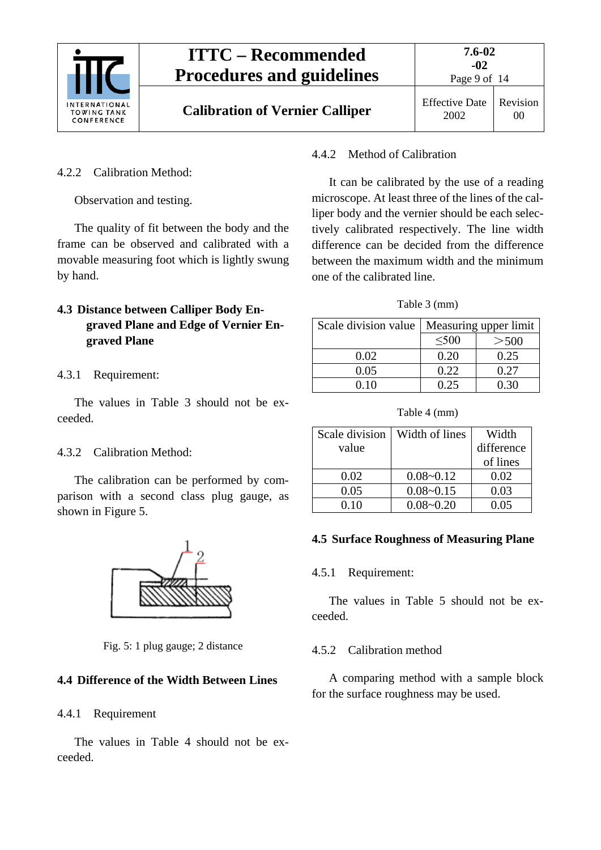

Page 9 of 14

00

### <span id="page-8-0"></span>4.2.2 Calibration Method:

Observation and testing.

The quality of fit between the body and the frame can be observed and calibrated with a movable measuring foot which is lightly swung by hand.

## <span id="page-8-1"></span>**4.3 Distance between Calliper Body Engraved Plane and Edge of Vernier Engraved Plane**

#### <span id="page-8-2"></span>4.3.1 Requirement:

The values in Table 3 should not be exceeded.

#### <span id="page-8-3"></span>4.3.2 Calibration Method:

The calibration can be performed by comparison with a second class plug gauge, as shown in Figure 5.



Fig. 5: 1 plug gauge; 2 distance

#### <span id="page-8-5"></span><span id="page-8-4"></span>**4.4 Difference of the Width Between Lines**

#### 4.4.1 Requirement

The values in Table 4 should not be exceeded.

#### <span id="page-8-6"></span>4.4.2 Method of Calibration

It can be calibrated by the use of a reading microscope. At least three of the lines of the calliper body and the vernier should be each selectively calibrated respectively. The line width difference can be decided from the difference between the maximum width and the minimum one of the calibrated line.

#### Table 3 (mm)

| Scale division value | Measuring upper limit |       |  |
|----------------------|-----------------------|-------|--|
|                      | $\leq 500$            | > 500 |  |
| 0.02                 | 0.20                  | 0.25  |  |
| 0.05                 | 0.22                  | 0.27  |  |
| 0.10                 | 0.25                  | 0.30  |  |

Table 4 (mm)

| Scale division | Width of lines | Width      |
|----------------|----------------|------------|
| value          |                | difference |
|                |                | of lines   |
| 0.02           | $0.08 - 0.12$  | 0.02       |
| 0.05           | $0.08 - 0.15$  | 0.03       |
| 0.10           | $0.08 - 0.20$  | 0.05       |

#### <span id="page-8-8"></span><span id="page-8-7"></span>**4.5 Surface Roughness of Measuring Plane**

#### 4.5.1 Requirement:

The values in Table 5 should not be exceeded.

#### <span id="page-8-9"></span>4.5.2 Calibration method

A comparing method with a sample block for the surface roughness may be used.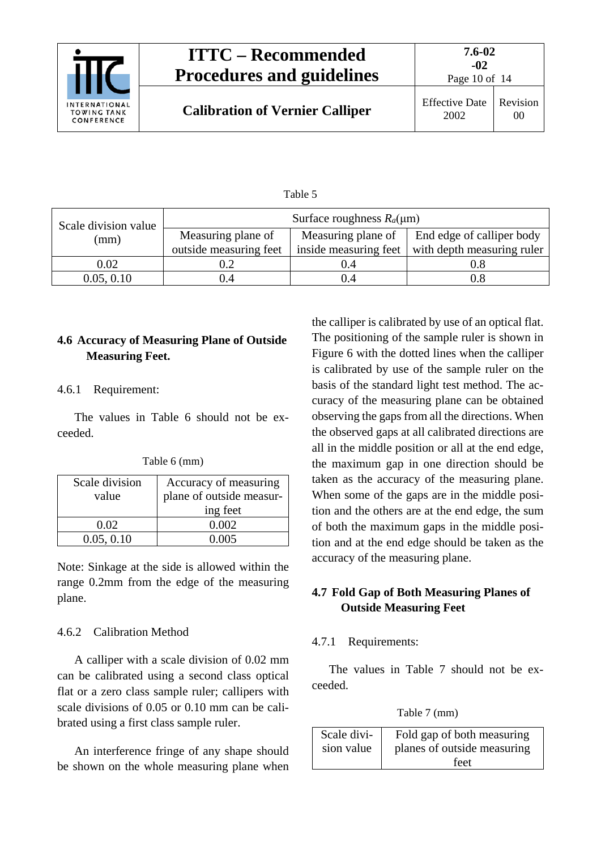

Page 10 of 14

| łΙ<br>nı |  |
|----------|--|
|----------|--|

| Scale division value | Surface roughness $R_a(\mu m)$ |                       |                            |  |
|----------------------|--------------------------------|-----------------------|----------------------------|--|
| (mm)                 | Measuring plane of             | Measuring plane of    | End edge of calliper body  |  |
|                      | outside measuring feet         | inside measuring feet | with depth measuring ruler |  |
| 0.02                 | 0.2                            | 0.4                   |                            |  |
| 0.05, 0.10           | 0.4                            | 0.4                   | 0.8                        |  |

## <span id="page-9-0"></span>**4.6 Accuracy of Measuring Plane of Outside Measuring Feet.**

### <span id="page-9-1"></span>4.6.1 Requirement:

The values in Table 6 should not be exceeded.

| Table 6 (mm) |  |
|--------------|--|
|--------------|--|

| Scale division<br>value | Accuracy of measuring<br>plane of outside measur- |
|-------------------------|---------------------------------------------------|
|                         | ing feet                                          |
| 0.02                    | 0.002                                             |
| 0.05, 0.10              | 0.005                                             |

Note: Sinkage at the side is allowed within the range 0.2mm from the edge of the measuring plane.

## <span id="page-9-2"></span>4.6.2 Calibration Method

A calliper with a scale division of 0.02 mm can be calibrated using a second class optical flat or a zero class sample ruler; callipers with scale divisions of 0.05 or 0.10 mm can be calibrated using a first class sample ruler.

An interference fringe of any shape should be shown on the whole measuring plane when

the calliper is calibrated by use of an optical flat. The positioning of the sample ruler is shown in Figure 6 with the dotted lines when the calliper is calibrated by use of the sample ruler on the basis of the standard light test method. The accuracy of the measuring plane can be obtained observing the gaps from all the directions. When the observed gaps at all calibrated directions are all in the middle position or all at the end edge, the maximum gap in one direction should be taken as the accuracy of the measuring plane. When some of the gaps are in the middle position and the others are at the end edge, the sum of both the maximum gaps in the middle position and at the end edge should be taken as the accuracy of the measuring plane.

## <span id="page-9-3"></span>**4.7 Fold Gap of Both Measuring Planes of Outside Measuring Feet**

## <span id="page-9-4"></span>4.7.1 Requirements:

The values in Table 7 should not be exceeded.

Table 7 (mm)

| Scale divi- | Fold gap of both measuring  |
|-------------|-----------------------------|
| sion value  | planes of outside measuring |
|             | feet                        |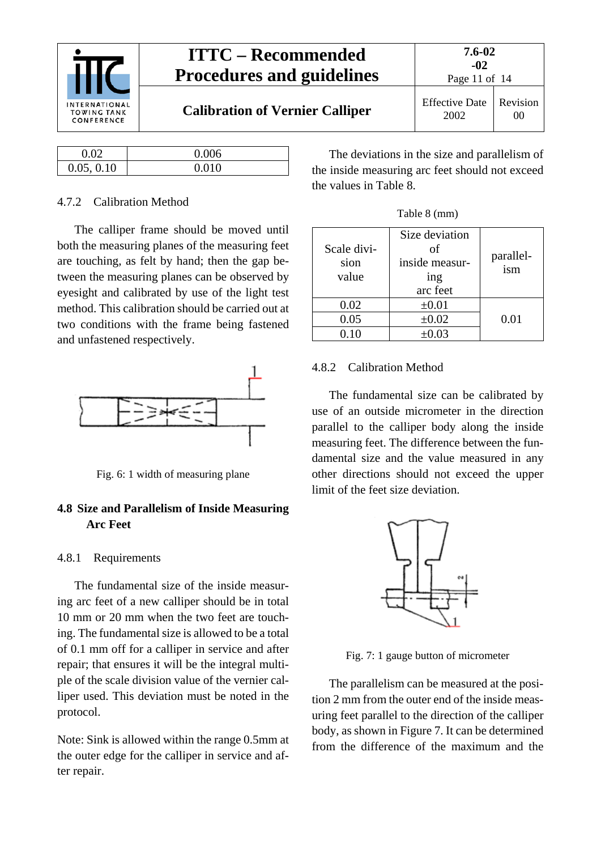

|            | 0.006 |
|------------|-------|
| 0.05, 0.10 | 0.010 |

#### <span id="page-10-0"></span>4.7.2 Calibration Method

The calliper frame should be moved until both the measuring planes of the measuring feet are touching, as felt by hand; then the gap between the measuring planes can be observed by eyesight and calibrated by use of the light test method. This calibration should be carried out at two conditions with the frame being fastened and unfastened respectively.



Fig. 6: 1 width of measuring plane

### <span id="page-10-1"></span>**4.8 Size and Parallelism of Inside Measuring Arc Feet**

#### <span id="page-10-2"></span>4.8.1 Requirements

The fundamental size of the inside measuring arc feet of a new calliper should be in total 10 mm or 20 mm when the two feet are touching. The fundamental size is allowed to be a total of 0.1 mm off for a calliper in service and after repair; that ensures it will be the integral multiple of the scale division value of the vernier calliper used. This deviation must be noted in the protocol.

Note: Sink is allowed within the range 0.5mm at the outer edge for the calliper in service and after repair.

The deviations in the size and parallelism of the inside measuring arc feet should not exceed the values in Table 8.

|  |  | Table 8 (mm) |
|--|--|--------------|
|--|--|--------------|

| Scale divi-<br>sion | Size deviation<br>of<br>inside measur- | parallel-<br>ism |
|---------------------|----------------------------------------|------------------|
| value               | ing                                    |                  |
|                     | arc feet                               |                  |
| 0.02                | $\pm 0.01$                             |                  |
| 0.05                | $\pm 0.02$                             | 0.01             |
| 0.10                | $\pm 0.03$                             |                  |

#### <span id="page-10-3"></span>4.8.2 Calibration Method

The fundamental size can be calibrated by use of an outside micrometer in the direction parallel to the calliper body along the inside measuring feet. The difference between the fundamental size and the value measured in any other directions should not exceed the upper limit of the feet size deviation.



Fig. 7: 1 gauge button of micrometer

The parallelism can be measured at the position 2 mm from the outer end of the inside measuring feet parallel to the direction of the calliper body, as shown in Figure 7. It can be determined from the difference of the maximum and the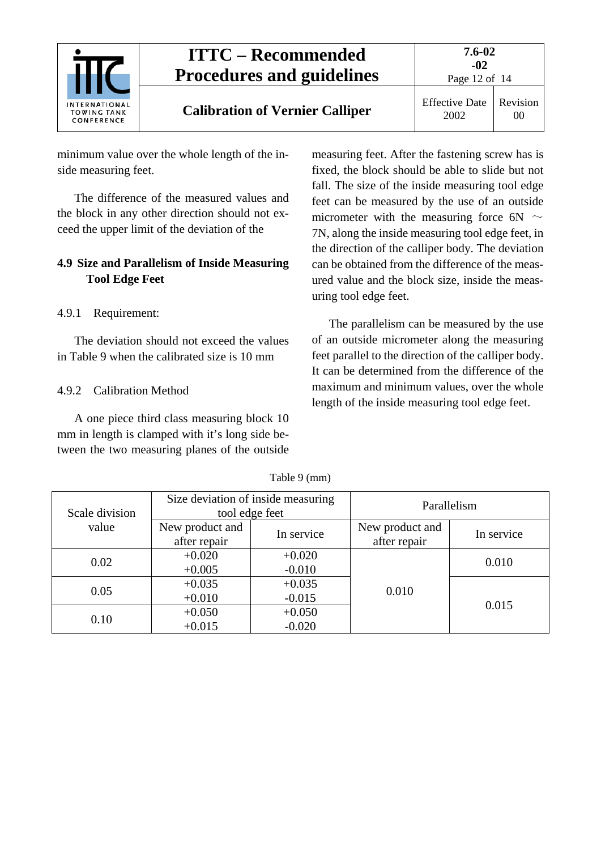

2002

Revision 00

minimum value over the whole length of the inside measuring feet.

The difference of the measured values and the block in any other direction should not exceed the upper limit of the deviation of the

## <span id="page-11-0"></span>**4.9 Size and Parallelism of Inside Measuring Tool Edge Feet**

<span id="page-11-1"></span>4.9.1 Requirement:

The deviation should not exceed the values in Table 9 when the calibrated size is 10 mm

## <span id="page-11-2"></span>4.9.2 Calibration Method

A one piece third class measuring block 10 mm in length is clamped with it's long side between the two measuring planes of the outside

measuring feet. After the fastening screw has is fixed, the block should be able to slide but not fall. The size of the inside measuring tool edge feet can be measured by the use of an outside micrometer with the measuring force 6N  $\sim$ 7N, along the inside measuring tool edge feet, in the direction of the calliper body. The deviation can be obtained from the difference of the measured value and the block size, inside the measuring tool edge feet.

The parallelism can be measured by the use of an outside micrometer along the measuring feet parallel to the direction of the calliper body. It can be determined from the difference of the maximum and minimum values, over the whole length of the inside measuring tool edge feet.

| Scale division | Size deviation of inside measuring<br>tool edge feet |                      | Parallelism                     |            |
|----------------|------------------------------------------------------|----------------------|---------------------------------|------------|
| value          | New product and<br>after repair                      | In service           | New product and<br>after repair | In service |
| 0.02           | $+0.020$<br>$+0.005$                                 | $+0.020$<br>$-0.010$ |                                 | 0.010      |
| 0.05           | $+0.035$<br>$+0.010$                                 | $+0.035$<br>$-0.015$ | 0.010                           |            |
| 0.10           | $+0.050$<br>$+0.015$                                 | $+0.050$<br>$-0.020$ |                                 | 0.015      |

Table 9 (mm)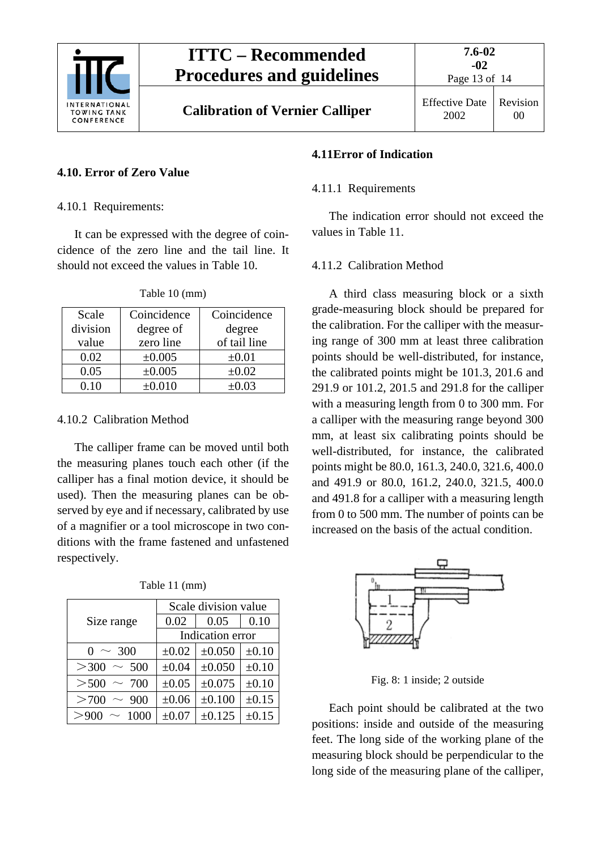

Page 13 of 14

#### <span id="page-12-1"></span><span id="page-12-0"></span>**4.10. Error of Zero Value**

4.10.1 Requirements:

It can be expressed with the degree of coincidence of the zero line and the tail line. It should not exceed the values in Table 10.

| Scale    | Coincidence | Coincidence  |
|----------|-------------|--------------|
| division | degree of   | degree       |
| value    | zero line   | of tail line |
| 0.02     | ±0.005      | $\pm 0.01$   |
| 0.05     | ±0.005      | $\pm 0.02$   |
| 0.10     | $\pm 0.010$ | $\pm 0.03$   |

Table 10 (mm)

#### <span id="page-12-2"></span>4.10.2 Calibration Method

The calliper frame can be moved until both the measuring planes touch each other (if the calliper has a final motion device, it should be used). Then the measuring planes can be observed by eye and if necessary, calibrated by use of a magnifier or a tool microscope in two conditions with the frame fastened and unfastened respectively.

|                      | Scale division value |        |            |  |
|----------------------|----------------------|--------|------------|--|
| Size range           | 0.02                 | 0.05   | 0.10       |  |
|                      | Indication error     |        |            |  |
| $0 \sim 300$         | $\pm 0.02$           | ±0.050 | $\pm 0.10$ |  |
| >300<br>$\sim 500$   | $\pm 0.04$           | ±0.050 | $\pm 0.10$ |  |
| > 500<br>$\sim 700$  | $\pm 0.05$           | ±0.075 | $\pm 0.10$ |  |
| >700<br>$\sim 900$   | $\pm 0.06$           | ±0.100 | $\pm 0.15$ |  |
| > 900<br>$\sim 1000$ | $\pm 0.07$           | ±0.125 | $\pm 0.15$ |  |

Table 11 (mm)

#### <span id="page-12-4"></span><span id="page-12-3"></span>**4.11Error of Indication**

#### 4.11.1 Requirements

The indication error should not exceed the values in Table 11.

#### <span id="page-12-5"></span>4.11.2 Calibration Method

A third class measuring block or a sixth grade-measuring block should be prepared for the calibration. For the calliper with the measuring range of 300 mm at least three calibration points should be well-distributed, for instance, the calibrated points might be 101.3, 201.6 and 291.9 or 101.2, 201.5 and 291.8 for the calliper with a measuring length from 0 to 300 mm. For a calliper with the measuring range beyond 300 mm, at least six calibrating points should be well-distributed, for instance, the calibrated points might be 80.0, 161.3, 240.0, 321.6, 400.0 and 491.9 or 80.0, 161.2, 240.0, 321.5, 400.0 and 491.8 for a calliper with a measuring length from 0 to 500 mm. The number of points can be increased on the basis of the actual condition.



Fig. 8: 1 inside; 2 outside

Each point should be calibrated at the two positions: inside and outside of the measuring feet. The long side of the working plane of the measuring block should be perpendicular to the long side of the measuring plane of the calliper,